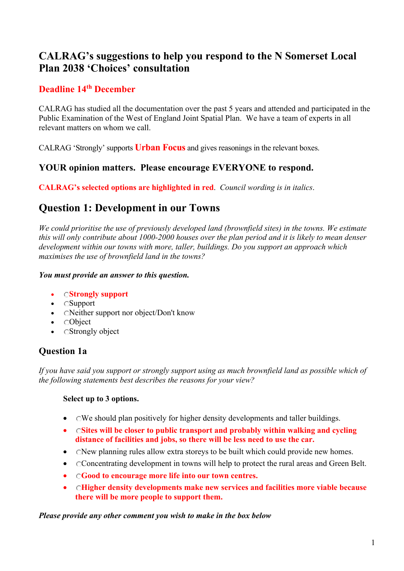## **CALRAG's suggestions to help you respond to the N Somerset Local Plan 2038 'Choices' consultation**

### **Deadline 14th December**

CALRAG has studied all the documentation over the past 5 years and attended and participated in the Public Examination of the West of England Joint Spatial Plan. We have a team of experts in all relevant matters on whom we call.

CALRAG 'Strongly' supports **Urban Focus** and gives reasonings in the relevant boxes.

### **YOUR opinion matters. Please encourage EVERYONE to respond.**

**CALRAG's selected options are highlighted in red**. *Council wording is in italics*.

# **Question 1: Development in our Towns**

*We could prioritise the use of previously developed land (brownfield sites) in the towns. We estimate this will only contribute about 1000-2000 houses over the plan period and it is likely to mean denser development within our towns with more, taller, buildings. Do you support an approach which maximises the use of brownfield land in the towns?* 

### *You must provide an answer to this question.*

#### • **Strongly support**

- Support
- CNeither support nor object/Don't know
- **CObject**
- CStrongly object

### **Question 1a**

*If you have said you support or strongly support using as much brownfield land as possible which of the following statements best describes the reasons for your view?* 

### **Select up to 3 options.**

- CWe should plan positively for higher density developments and taller buildings.
- **Sites will be closer to public transport and probably within walking and cycling distance of facilities and jobs, so there will be less need to use the car.**
- CNew planning rules allow extra storeys to be built which could provide new homes.
- Concentrating development in towns will help to protect the rural areas and Green Belt.
- **Good to encourage more life into our town centres.**
- **Higher density developments make new services and facilities more viable because there will be more people to support them.**

*Please provide any other comment you wish to make in the box below*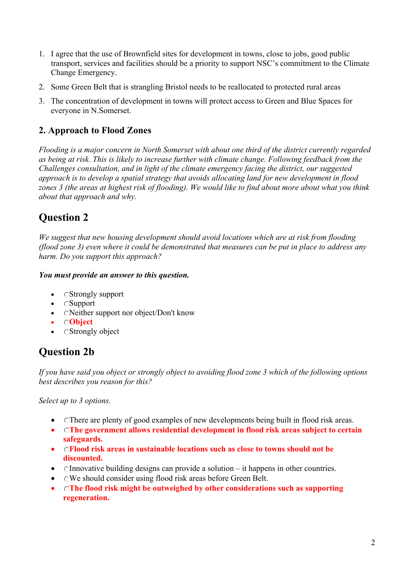- 1. I agree that the use of Brownfield sites for development in towns, close to jobs, good public transport, services and facilities should be a priority to support NSC's commitment to the Climate Change Emergency.
- 2. Some Green Belt that is strangling Bristol needs to be reallocated to protected rural areas
- 3. The concentration of development in towns will protect access to Green and Blue Spaces for everyone in N.Somerset.

## **2. Approach to Flood Zones**

*Flooding is a major concern in North Somerset with about one third of the district currently regarded as being at risk. This is likely to increase further with climate change. Following feedback from the Challenges consultation, and in light of the climate emergency facing the district, our suggested approach is to develop a spatial strategy that avoids allocating land for new development in flood zones 3 (the areas at highest risk of flooding). We would like to find about more about what you think about that approach and why.* 

# **Question 2**

*We suggest that new housing development should avoid locations which are at risk from flooding (flood zone 3) even where it could be demonstrated that measures can be put in place to address any harm. Do you support this approach?* 

### *You must provide an answer to this question.*

- CStrongly support
- Support
- CNeither support nor object/Don't know
- **Object**
- CStrongly object

# **Question 2b**

*If you have said you object or strongly object to avoiding flood zone 3 which of the following options best describes you reason for this?* 

*Select up to 3 options.* 

- Chere are plenty of good examples of new developments being built in flood risk areas.
- **The government allows residential development in flood risk areas subject to certain safeguards.**
- **Flood risk areas in sustainable locations such as close to towns should not be discounted.**
- Chandellary of the building designs can provide a solution  $-$  it happens in other countries.
- OWe should consider using flood risk areas before Green Belt.
- **The flood risk might be outweighed by other considerations such as supporting regeneration.**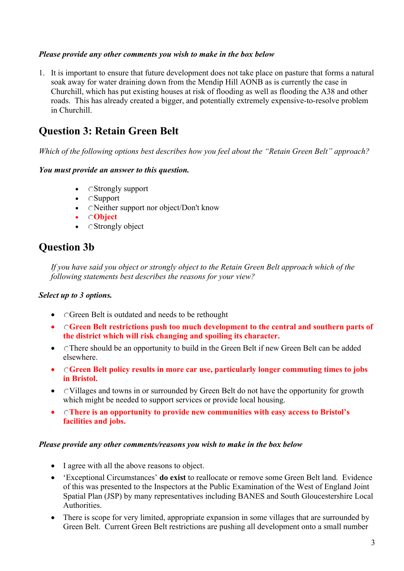#### *Please provide any other comments you wish to make in the box below*

1. It is important to ensure that future development does not take place on pasture that forms a natural soak away for water draining down from the Mendip Hill AONB as is currently the case in Churchill, which has put existing houses at risk of flooding as well as flooding the A38 and other roads. This has already created a bigger, and potentially extremely expensive-to-resolve problem in Churchill.

# **Question 3: Retain Green Belt**

*Which of the following options best describes how you feel about the "Retain Green Belt" approach?* 

#### *You must provide an answer to this question.*

- CStrongly support
- Support
- CNeither support nor object/Don't know
- **Object**
- CStrongly object

# **Question 3b**

*If you have said you object or strongly object to the Retain Green Belt approach which of the following statements best describes the reasons for your view?* 

### *Select up to 3 options.*

- CGreen Belt is outdated and needs to be rethought
- **Green Belt restrictions push too much development to the central and southern parts of the district which will risk changing and spoiling its character.**
- CThere should be an opportunity to build in the Green Belt if new Green Belt can be added elsewhere.
- **Green Belt policy results in more car use, particularly longer commuting times to jobs in Bristol.**
- CVillages and towns in or surrounded by Green Belt do not have the opportunity for growth which might be needed to support services or provide local housing.
- **There is an opportunity to provide new communities with easy access to Bristol's facilities and jobs.**

#### *Please provide any other comments/reasons you wish to make in the box below*

- I agree with all the above reasons to object.
- 'Exceptional Circumstances' **do exist** to reallocate or remove some Green Belt land. Evidence of this was presented to the Inspectors at the Public Examination of the West of England Joint Spatial Plan (JSP) by many representatives including BANES and South Gloucestershire Local Authorities.
- There is scope for very limited, appropriate expansion in some villages that are surrounded by Green Belt. Current Green Belt restrictions are pushing all development onto a small number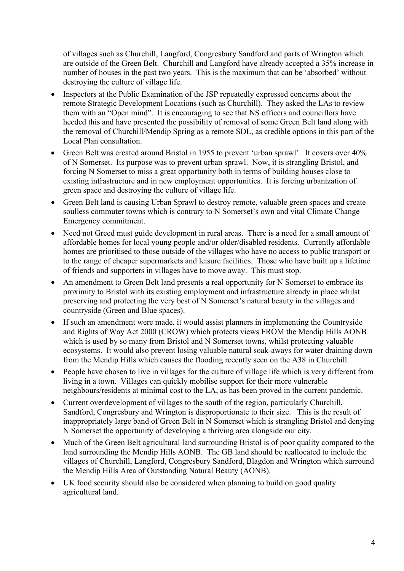of villages such as Churchill, Langford, Congresbury Sandford and parts of Wrington which are outside of the Green Belt. Churchill and Langford have already accepted a 35% increase in number of houses in the past two years. This is the maximum that can be 'absorbed' without destroying the culture of village life.

- Inspectors at the Public Examination of the JSP repeatedly expressed concerns about the remote Strategic Development Locations (such as Churchill). They asked the LAs to review them with an "Open mind". It is encouraging to see that NS officers and councillors have heeded this and have presented the possibility of removal of some Green Belt land along with the removal of Churchill/Mendip Spring as a remote SDL, as credible options in this part of the Local Plan consultation.
- Green Belt was created around Bristol in 1955 to prevent 'urban sprawl'. It covers over 40% of N Somerset. Its purpose was to prevent urban sprawl. Now, it is strangling Bristol, and forcing N Somerset to miss a great opportunity both in terms of building houses close to existing infrastructure and in new employment opportunities. It is forcing urbanization of green space and destroying the culture of village life.
- Green Belt land is causing Urban Sprawl to destroy remote, valuable green spaces and create soulless commuter towns which is contrary to N Somerset's own and vital Climate Change Emergency commitment.
- Need not Greed must guide development in rural areas. There is a need for a small amount of affordable homes for local young people and/or older/disabled residents. Currently affordable homes are prioritised to those outside of the villages who have no access to public transport or to the range of cheaper supermarkets and leisure facilities. Those who have built up a lifetime of friends and supporters in villages have to move away. This must stop.
- An amendment to Green Belt land presents a real opportunity for N Somerset to embrace its proximity to Bristol with its existing employment and infrastructure already in place whilst preserving and protecting the very best of N Somerset's natural beauty in the villages and countryside (Green and Blue spaces).
- If such an amendment were made, it would assist planners in implementing the Countryside and Rights of Way Act 2000 (CROW) which protects views FROM the Mendip Hills AONB which is used by so many from Bristol and N Somerset towns, whilst protecting valuable ecosystems. It would also prevent losing valuable natural soak-aways for water draining down from the Mendip Hills which causes the flooding recently seen on the A38 in Churchill.
- People have chosen to live in villages for the culture of village life which is very different from living in a town. Villages can quickly mobilise support for their more vulnerable neighbours/residents at minimal cost to the LA, as has been proved in the current pandemic.
- Current overdevelopment of villages to the south of the region, particularly Churchill, Sandford, Congresbury and Wrington is disproportionate to their size. This is the result of inappropriately large band of Green Belt in N Somerset which is strangling Bristol and denying N Somerset the opportunity of developing a thriving area alongside our city.
- Much of the Green Belt agricultural land surrounding Bristol is of poor quality compared to the land surrounding the Mendip Hills AONB. The GB land should be reallocated to include the villages of Churchill, Langford, Congresbury Sandford, Blagdon and Wrington which surround the Mendip Hills Area of Outstanding Natural Beauty (AONB).
- UK food security should also be considered when planning to build on good quality agricultural land.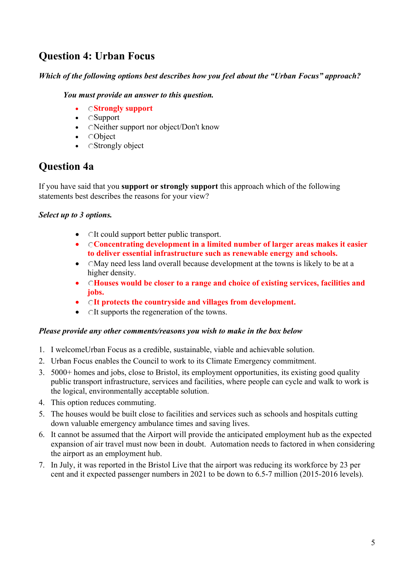# **Question 4: Urban Focus**

### *Which of the following options best describes how you feel about the "Urban Focus" approach?*

#### *You must provide an answer to this question.*

- **Strongly support**
- Support
- CNeither support nor object/Don't know
- Object
- CStrongly object

# **Question 4a**

If you have said that you **support or strongly support** this approach which of the following statements best describes the reasons for your view?

### *Select up to 3 options.*

- OIt could support better public transport.
- **Concentrating development in a limited number of larger areas makes it easier to deliver essential infrastructure such as renewable energy and schools.**
- CMay need less land overall because development at the towns is likely to be at a higher density.
- **Houses would be closer to a range and choice of existing services, facilities and jobs.**
- **It protects the countryside and villages from development.**
- CIt supports the regeneration of the towns.

#### *Please provide any other comments/reasons you wish to make in the box below*

- 1. I welcomeUrban Focus as a credible, sustainable, viable and achievable solution.
- 2. Urban Focus enables the Council to work to its Climate Emergency commitment.
- 3. 5000+ homes and jobs, close to Bristol, its employment opportunities, its existing good quality public transport infrastructure, services and facilities, where people can cycle and walk to work is the logical, environmentally acceptable solution.
- 4. This option reduces commuting.
- 5. The houses would be built close to facilities and services such as schools and hospitals cutting down valuable emergency ambulance times and saving lives.
- 6. It cannot be assumed that the Airport will provide the anticipated employment hub as the expected expansion of air travel must now been in doubt. Automation needs to factored in when considering the airport as an employment hub.
- 7. In July, it was reported in the Bristol Live that the airport was reducing its workforce by 23 per cent and it expected passenger numbers in 2021 to be down to 6.5-7 million (2015-2016 levels).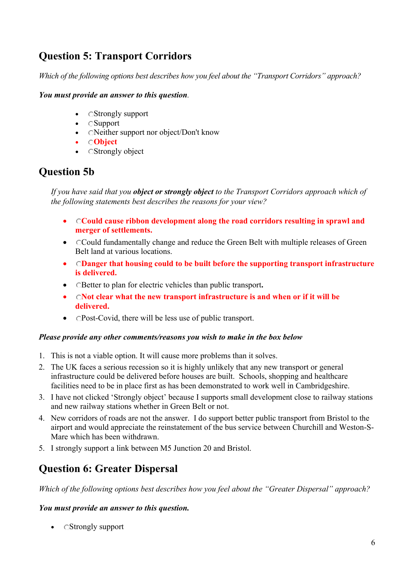# **Question 5: Transport Corridors**

*Which of the following options best describes how you feel about the "Transport Corridors" approach?* 

#### *You must provide an answer to this question.*

- CStrongly support
- Support
- CNeither support nor object/Don't know
- **Object**
- CStrongly object

# **Question 5b**

*If you have said that you object or strongly object to the Transport Corridors approach which of the following statements best describes the reasons for your view?* 

- **Could cause ribbon development along the road corridors resulting in sprawl and merger of settlements.**
- Could fundamentally change and reduce the Green Belt with multiple releases of Green Belt land at various locations.
- **Danger that housing could to be built before the supporting transport infrastructure is delivered.**
- Better to plan for electric vehicles than public transport**.**
- **Not clear what the new transport infrastructure is and when or if it will be delivered.**
- CPost-Covid, there will be less use of public transport.

#### *Please provide any other comments/reasons you wish to make in the box below*

- 1. This is not a viable option. It will cause more problems than it solves.
- 2. The UK faces a serious recession so it is highly unlikely that any new transport or general infrastructure could be delivered before houses are built. Schools, shopping and healthcare facilities need to be in place first as has been demonstrated to work well in Cambridgeshire.
- 3. I have not clicked 'Strongly object' because I supports small development close to railway stations and new railway stations whether in Green Belt or not.
- 4. New corridors of roads are not the answer. I do support better public transport from Bristol to the airport and would appreciate the reinstatement of the bus service between Churchill and Weston-S-Mare which has been withdrawn.
- 5. I strongly support a link between M5 Junction 20 and Bristol.

# **Question 6: Greater Dispersal**

*Which of the following options best describes how you feel about the "Greater Dispersal" approach?* 

### *You must provide an answer to this question.*

• CStrongly support